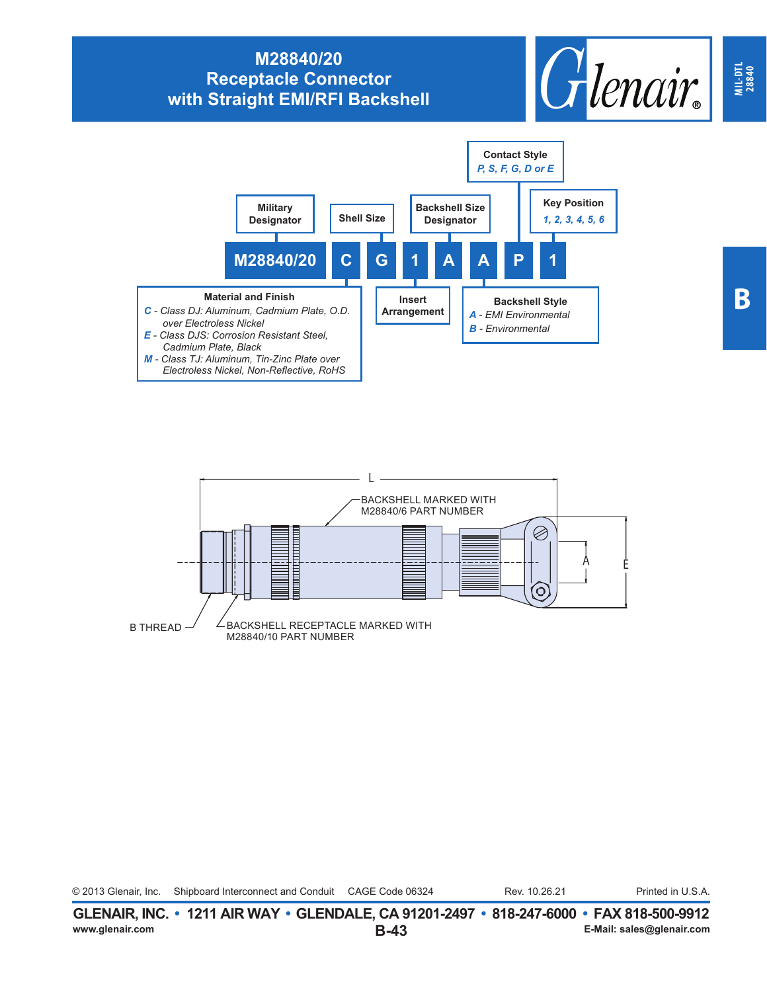## **M28840/20 Receptacle Connector with Straight EMI/RFI Backshell**







© 2013 Glenair, Inc. Shipboard Interconnect and Conduit CAGE Code 06324 Rev. 10.26.21 Printed in U.S.A. Rev. 10.26.21

**MIL-DTL 28840**